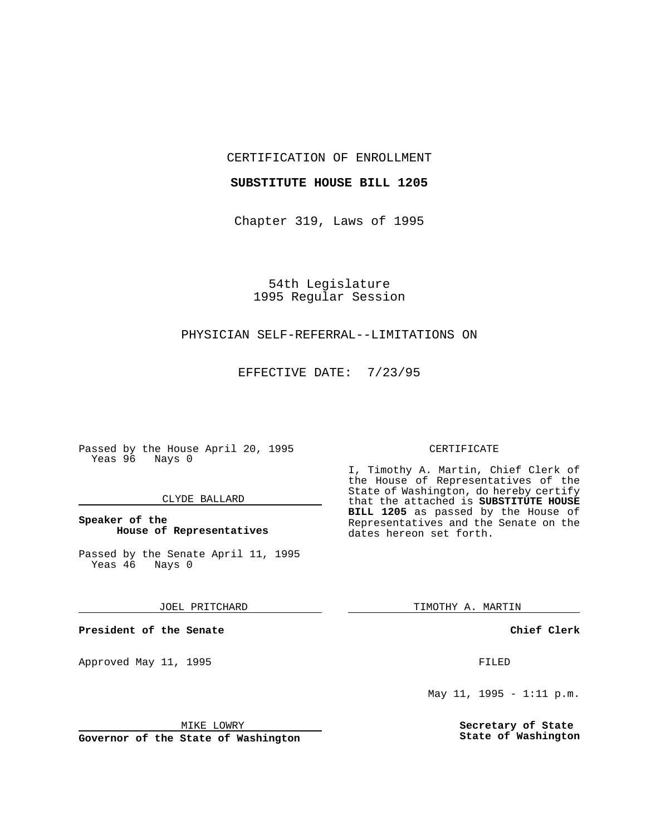CERTIFICATION OF ENROLLMENT

#### **SUBSTITUTE HOUSE BILL 1205**

Chapter 319, Laws of 1995

54th Legislature 1995 Regular Session

## PHYSICIAN SELF-REFERRAL--LIMITATIONS ON

EFFECTIVE DATE: 7/23/95

Passed by the House April 20, 1995 Yeas 96 Nays 0

#### CLYDE BALLARD

# **Speaker of the House of Representatives**

Passed by the Senate April 11, 1995<br>Yeas 46 Nays 0 Yeas 46

#### JOEL PRITCHARD

**President of the Senate**

Approved May 11, 1995 FILED

#### MIKE LOWRY

**Governor of the State of Washington**

#### CERTIFICATE

I, Timothy A. Martin, Chief Clerk of the House of Representatives of the State of Washington, do hereby certify that the attached is **SUBSTITUTE HOUSE BILL 1205** as passed by the House of Representatives and the Senate on the dates hereon set forth.

TIMOTHY A. MARTIN

## **Chief Clerk**

May 11, 1995 - 1:11 p.m.

**Secretary of State State of Washington**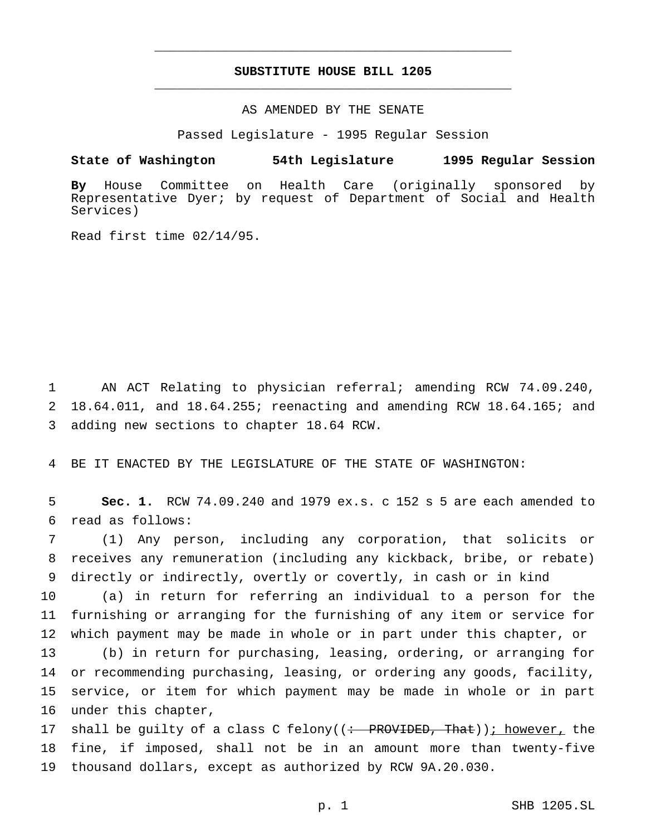# **SUBSTITUTE HOUSE BILL 1205** \_\_\_\_\_\_\_\_\_\_\_\_\_\_\_\_\_\_\_\_\_\_\_\_\_\_\_\_\_\_\_\_\_\_\_\_\_\_\_\_\_\_\_\_\_\_\_

\_\_\_\_\_\_\_\_\_\_\_\_\_\_\_\_\_\_\_\_\_\_\_\_\_\_\_\_\_\_\_\_\_\_\_\_\_\_\_\_\_\_\_\_\_\_\_

# AS AMENDED BY THE SENATE

Passed Legislature - 1995 Regular Session

#### **State of Washington 54th Legislature 1995 Regular Session**

**By** House Committee on Health Care (originally sponsored by Representative Dyer; by request of Department of Social and Health Services)

Read first time 02/14/95.

1 AN ACT Relating to physician referral; amending RCW 74.09.240, 2 18.64.011, and 18.64.255; reenacting and amending RCW 18.64.165; and 3 adding new sections to chapter 18.64 RCW.

4 BE IT ENACTED BY THE LEGISLATURE OF THE STATE OF WASHINGTON:

5 **Sec. 1.** RCW 74.09.240 and 1979 ex.s. c 152 s 5 are each amended to 6 read as follows:

7 (1) Any person, including any corporation, that solicits or 8 receives any remuneration (including any kickback, bribe, or rebate) 9 directly or indirectly, overtly or covertly, in cash or in kind

10 (a) in return for referring an individual to a person for the 11 furnishing or arranging for the furnishing of any item or service for 12 which payment may be made in whole or in part under this chapter, or

 (b) in return for purchasing, leasing, ordering, or arranging for or recommending purchasing, leasing, or ordering any goods, facility, service, or item for which payment may be made in whole or in part under this chapter,

17 shall be quilty of a class C felony( $(\div$  PROVIDED, That)); however, the 18 fine, if imposed, shall not be in an amount more than twenty-five 19 thousand dollars, except as authorized by RCW 9A.20.030.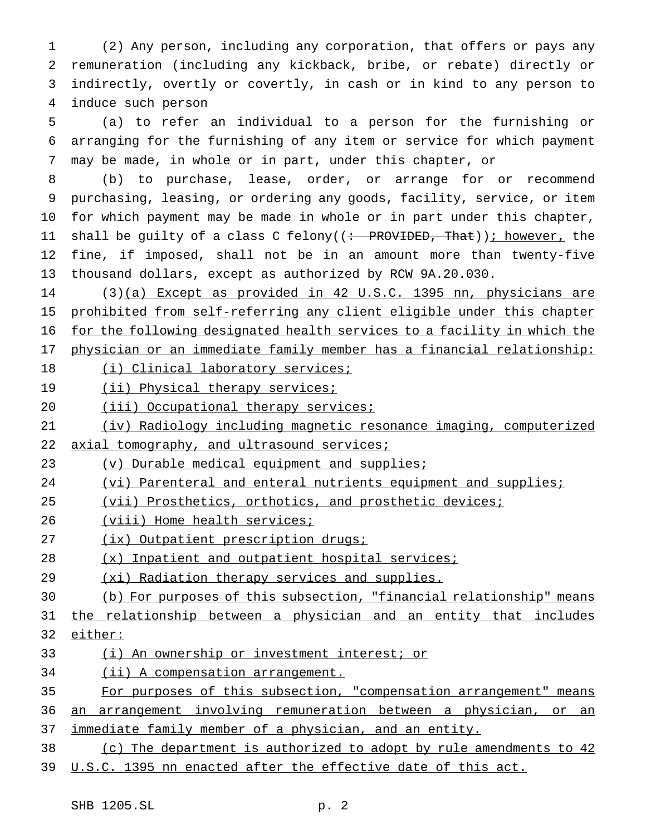(2) Any person, including any corporation, that offers or pays any remuneration (including any kickback, bribe, or rebate) directly or indirectly, overtly or covertly, in cash or in kind to any person to induce such person

 (a) to refer an individual to a person for the furnishing or arranging for the furnishing of any item or service for which payment may be made, in whole or in part, under this chapter, or

 (b) to purchase, lease, order, or arrange for or recommend purchasing, leasing, or ordering any goods, facility, service, or item for which payment may be made in whole or in part under this chapter, 11 shall be guilty of a class C felony((<del>: PROVIDED, That</del>)); however, the fine, if imposed, shall not be in an amount more than twenty-five thousand dollars, except as authorized by RCW 9A.20.030.

 (3)(a) Except as provided in 42 U.S.C. 1395 nn, physicians are prohibited from self-referring any client eligible under this chapter for the following designated health services to a facility in which the physician or an immediate family member has a financial relationship:

- 18 (i) Clinical laboratory services;
- 19 (ii) Physical therapy services;
- 20 (iii) Occupational therapy services;
- (iv) Radiology including magnetic resonance imaging, computerized
- 22 axial tomography, and ultrasound services;
- 23 (v) Durable medical equipment and supplies;
- 24 (vi) Parenteral and enteral nutrients equipment and supplies;
- (vii) Prosthetics, orthotics, and prosthetic devices;
- 26 (viii) Home health services;
- 27 (ix) Outpatient prescription drugs;
- (x) Inpatient and outpatient hospital services;
- 29 (xi) Radiation therapy services and supplies.
- (b) For purposes of this subsection, "financial relationship" means

31 the relationship between a physician and an entity that includes either:

- (i) An ownership or investment interest; or
- 34 (ii) A compensation arrangement.
- For purposes of this subsection, "compensation arrangement" means an arrangement involving remuneration between a physician, or an
- 37 immediate family member of a physician, and an entity.

# (c) The department is authorized to adopt by rule amendments to 42

U.S.C. 1395 nn enacted after the effective date of this act.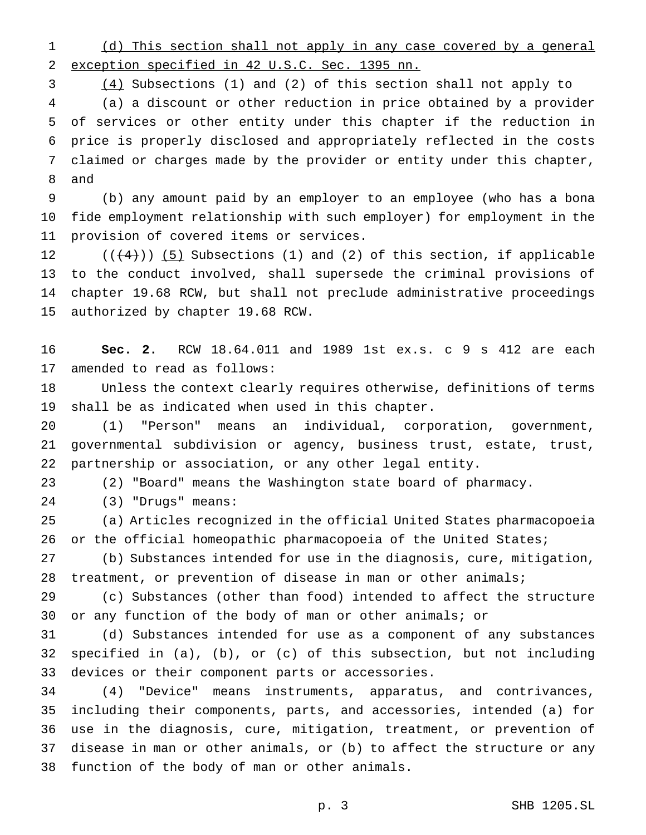(d) This section shall not apply in any case covered by a general exception specified in 42 U.S.C. Sec. 1395 nn.

 (4) Subsections (1) and (2) of this section shall not apply to (a) a discount or other reduction in price obtained by a provider of services or other entity under this chapter if the reduction in price is properly disclosed and appropriately reflected in the costs claimed or charges made by the provider or entity under this chapter, and

 (b) any amount paid by an employer to an employee (who has a bona fide employment relationship with such employer) for employment in the provision of covered items or services.

 $((+4))$   $(5)$  Subsections (1) and (2) of this section, if applicable to the conduct involved, shall supersede the criminal provisions of chapter 19.68 RCW, but shall not preclude administrative proceedings authorized by chapter 19.68 RCW.

 **Sec. 2.** RCW 18.64.011 and 1989 1st ex.s. c 9 s 412 are each amended to read as follows:

 Unless the context clearly requires otherwise, definitions of terms shall be as indicated when used in this chapter.

 (1) "Person" means an individual, corporation, government, governmental subdivision or agency, business trust, estate, trust, partnership or association, or any other legal entity.

(2) "Board" means the Washington state board of pharmacy.

(3) "Drugs" means:

 (a) Articles recognized in the official United States pharmacopoeia or the official homeopathic pharmacopoeia of the United States;

 (b) Substances intended for use in the diagnosis, cure, mitigation, treatment, or prevention of disease in man or other animals;

 (c) Substances (other than food) intended to affect the structure or any function of the body of man or other animals; or

 (d) Substances intended for use as a component of any substances specified in (a), (b), or (c) of this subsection, but not including devices or their component parts or accessories.

 (4) "Device" means instruments, apparatus, and contrivances, including their components, parts, and accessories, intended (a) for use in the diagnosis, cure, mitigation, treatment, or prevention of disease in man or other animals, or (b) to affect the structure or any function of the body of man or other animals.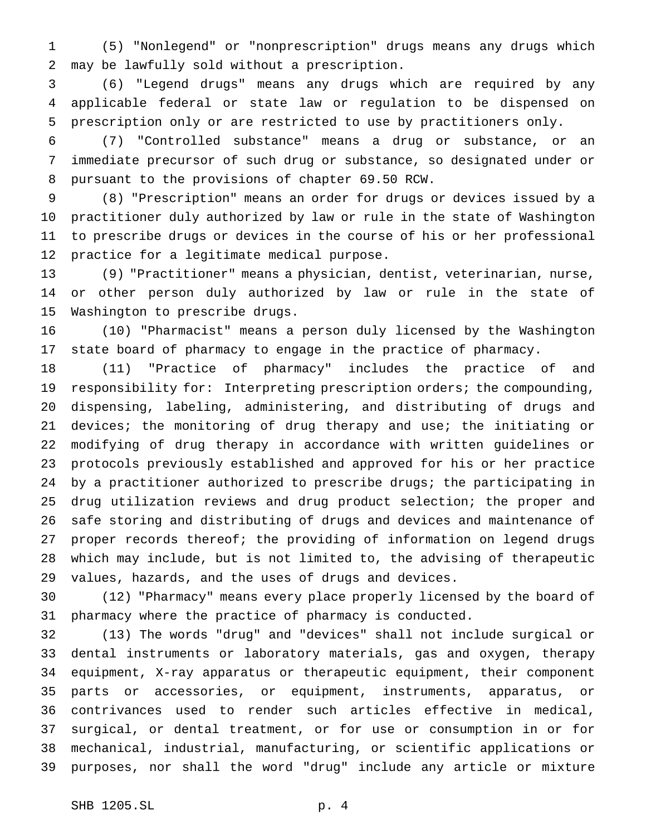(5) "Nonlegend" or "nonprescription" drugs means any drugs which may be lawfully sold without a prescription.

 (6) "Legend drugs" means any drugs which are required by any applicable federal or state law or regulation to be dispensed on prescription only or are restricted to use by practitioners only.

 (7) "Controlled substance" means a drug or substance, or an immediate precursor of such drug or substance, so designated under or pursuant to the provisions of chapter 69.50 RCW.

 (8) "Prescription" means an order for drugs or devices issued by a practitioner duly authorized by law or rule in the state of Washington to prescribe drugs or devices in the course of his or her professional practice for a legitimate medical purpose.

 (9) "Practitioner" means a physician, dentist, veterinarian, nurse, or other person duly authorized by law or rule in the state of Washington to prescribe drugs.

 (10) "Pharmacist" means a person duly licensed by the Washington state board of pharmacy to engage in the practice of pharmacy.

 (11) "Practice of pharmacy" includes the practice of and responsibility for: Interpreting prescription orders; the compounding, dispensing, labeling, administering, and distributing of drugs and 21 devices; the monitoring of drug therapy and use; the initiating or modifying of drug therapy in accordance with written guidelines or protocols previously established and approved for his or her practice by a practitioner authorized to prescribe drugs; the participating in drug utilization reviews and drug product selection; the proper and safe storing and distributing of drugs and devices and maintenance of proper records thereof; the providing of information on legend drugs which may include, but is not limited to, the advising of therapeutic values, hazards, and the uses of drugs and devices.

 (12) "Pharmacy" means every place properly licensed by the board of pharmacy where the practice of pharmacy is conducted.

 (13) The words "drug" and "devices" shall not include surgical or dental instruments or laboratory materials, gas and oxygen, therapy equipment, X-ray apparatus or therapeutic equipment, their component parts or accessories, or equipment, instruments, apparatus, or contrivances used to render such articles effective in medical, surgical, or dental treatment, or for use or consumption in or for mechanical, industrial, manufacturing, or scientific applications or purposes, nor shall the word "drug" include any article or mixture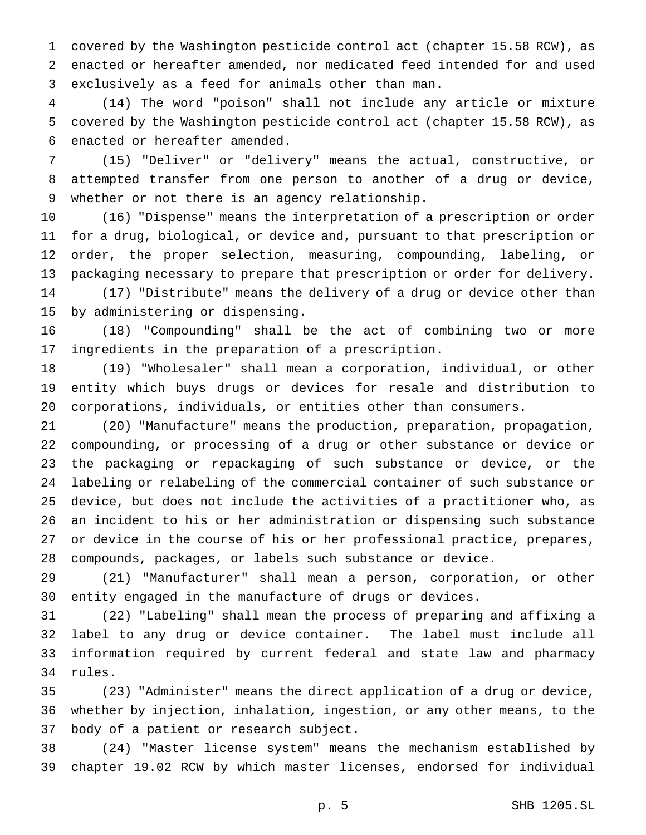covered by the Washington pesticide control act (chapter 15.58 RCW), as enacted or hereafter amended, nor medicated feed intended for and used exclusively as a feed for animals other than man.

 (14) The word "poison" shall not include any article or mixture covered by the Washington pesticide control act (chapter 15.58 RCW), as enacted or hereafter amended.

 (15) "Deliver" or "delivery" means the actual, constructive, or attempted transfer from one person to another of a drug or device, whether or not there is an agency relationship.

 (16) "Dispense" means the interpretation of a prescription or order for a drug, biological, or device and, pursuant to that prescription or order, the proper selection, measuring, compounding, labeling, or packaging necessary to prepare that prescription or order for delivery. (17) "Distribute" means the delivery of a drug or device other than by administering or dispensing.

 (18) "Compounding" shall be the act of combining two or more ingredients in the preparation of a prescription.

 (19) "Wholesaler" shall mean a corporation, individual, or other entity which buys drugs or devices for resale and distribution to corporations, individuals, or entities other than consumers.

 (20) "Manufacture" means the production, preparation, propagation, compounding, or processing of a drug or other substance or device or the packaging or repackaging of such substance or device, or the labeling or relabeling of the commercial container of such substance or device, but does not include the activities of a practitioner who, as an incident to his or her administration or dispensing such substance or device in the course of his or her professional practice, prepares, compounds, packages, or labels such substance or device.

 (21) "Manufacturer" shall mean a person, corporation, or other entity engaged in the manufacture of drugs or devices.

 (22) "Labeling" shall mean the process of preparing and affixing a label to any drug or device container. The label must include all information required by current federal and state law and pharmacy rules.

 (23) "Administer" means the direct application of a drug or device, whether by injection, inhalation, ingestion, or any other means, to the body of a patient or research subject.

 (24) "Master license system" means the mechanism established by chapter 19.02 RCW by which master licenses, endorsed for individual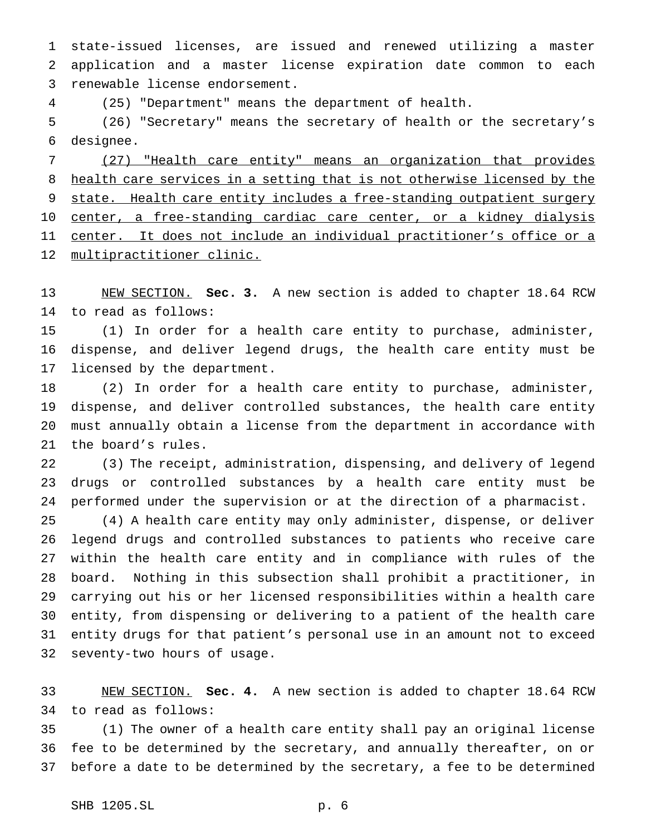state-issued licenses, are issued and renewed utilizing a master application and a master license expiration date common to each renewable license endorsement.

(25) "Department" means the department of health.

 (26) "Secretary" means the secretary of health or the secretary's designee.

 (27) "Health care entity" means an organization that provides health care services in a setting that is not otherwise licensed by the 9 state. Health care entity includes a free-standing outpatient surgery 10 center, a free-standing cardiac care center, or a kidney dialysis center. It does not include an individual practitioner's office or a multipractitioner clinic.

 NEW SECTION. **Sec. 3.** A new section is added to chapter 18.64 RCW to read as follows:

 (1) In order for a health care entity to purchase, administer, dispense, and deliver legend drugs, the health care entity must be licensed by the department.

 (2) In order for a health care entity to purchase, administer, dispense, and deliver controlled substances, the health care entity must annually obtain a license from the department in accordance with the board's rules.

 (3) The receipt, administration, dispensing, and delivery of legend drugs or controlled substances by a health care entity must be performed under the supervision or at the direction of a pharmacist.

 (4) A health care entity may only administer, dispense, or deliver legend drugs and controlled substances to patients who receive care within the health care entity and in compliance with rules of the board. Nothing in this subsection shall prohibit a practitioner, in carrying out his or her licensed responsibilities within a health care entity, from dispensing or delivering to a patient of the health care entity drugs for that patient's personal use in an amount not to exceed seventy-two hours of usage.

 NEW SECTION. **Sec. 4.** A new section is added to chapter 18.64 RCW to read as follows:

 (1) The owner of a health care entity shall pay an original license fee to be determined by the secretary, and annually thereafter, on or before a date to be determined by the secretary, a fee to be determined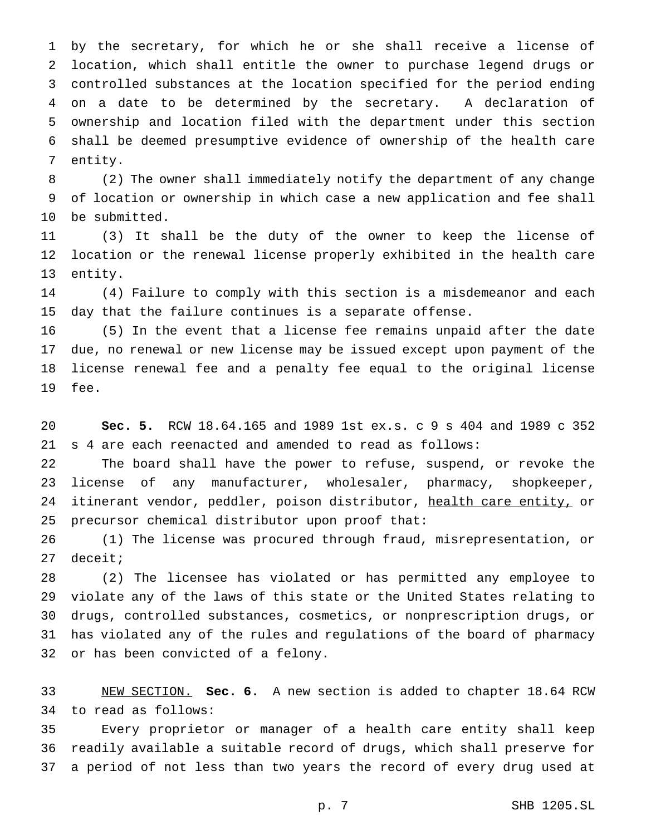by the secretary, for which he or she shall receive a license of location, which shall entitle the owner to purchase legend drugs or controlled substances at the location specified for the period ending on a date to be determined by the secretary. A declaration of ownership and location filed with the department under this section shall be deemed presumptive evidence of ownership of the health care entity.

 (2) The owner shall immediately notify the department of any change of location or ownership in which case a new application and fee shall be submitted.

 (3) It shall be the duty of the owner to keep the license of location or the renewal license properly exhibited in the health care entity.

 (4) Failure to comply with this section is a misdemeanor and each day that the failure continues is a separate offense.

 (5) In the event that a license fee remains unpaid after the date due, no renewal or new license may be issued except upon payment of the license renewal fee and a penalty fee equal to the original license fee.

 **Sec. 5.** RCW 18.64.165 and 1989 1st ex.s. c 9 s 404 and 1989 c 352 s 4 are each reenacted and amended to read as follows:

 The board shall have the power to refuse, suspend, or revoke the license of any manufacturer, wholesaler, pharmacy, shopkeeper, 24 itinerant vendor, peddler, poison distributor, health care entity, or precursor chemical distributor upon proof that:

 (1) The license was procured through fraud, misrepresentation, or deceit;

 (2) The licensee has violated or has permitted any employee to violate any of the laws of this state or the United States relating to drugs, controlled substances, cosmetics, or nonprescription drugs, or has violated any of the rules and regulations of the board of pharmacy or has been convicted of a felony.

 NEW SECTION. **Sec. 6.** A new section is added to chapter 18.64 RCW to read as follows:

 Every proprietor or manager of a health care entity shall keep readily available a suitable record of drugs, which shall preserve for a period of not less than two years the record of every drug used at